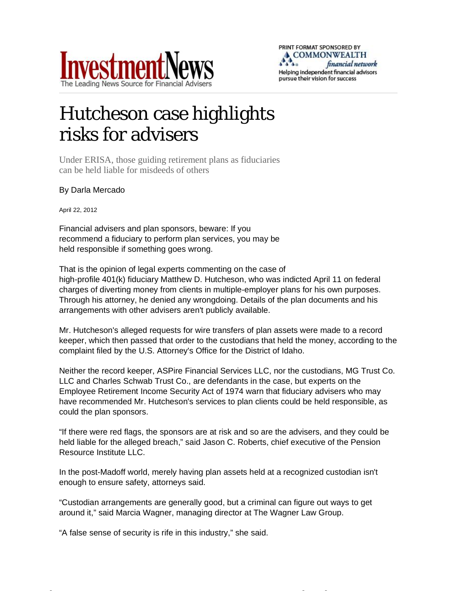

## Hutcheson case highlights risks for advisers

Under ERISA, those guiding retirement plans as fiduciaries can be held liable for misdeeds of others

## By Darla Mercado

April 22, 2012

Financial advisers and plan sponsors, beware: If you recommend a fiduciary to perform plan services, you may be held responsible if something goes wrong.

That is the opinion of legal experts commenting on the case of high-profile 401(k) fiduciary Matthew D. Hutcheson, who was indicted April 11 on federal charges of diverting money from clients in multiple-employer plans for his own purposes. Through his attorney, he denied any wrongdoing. Details of the plan documents and his arrangements with other advisers aren't publicly available.

Mr. Hutcheson's alleged requests for wire transfers of plan assets were made to a record keeper, which then passed that order to the custodians that held the money, according to the complaint filed by the U.S. Attorney's Office for the District of Idaho.

Neither the record keeper, ASPire Financial Services LLC, nor the custodians, MG Trust Co. LLC and Charles Schwab Trust Co., are defendants in the case, but experts on the Employee Retirement Income Security Act of 1974 warn that fiduciary advisers who may have recommended Mr. Hutcheson's services to plan clients could be held responsible, as could the plan sponsors.

"If there were red flags, the sponsors are at risk and so are the advisers, and they could be held liable for the alleged breach," said Jason C. Roberts, chief executive of the Pension Resource Institute LLC.

In the post-Madoff world, merely having plan assets held at a recognized custodian isn't enough to ensure safety, attorneys said.

"Custodian arrangements are generally good, but a criminal can figure out ways to get around it,"said Marcia Wagner, managing director at The Wagner Law Group.

[http://www.investmentnews.com/article/20120422/REG/304229970?template=printart](http://www.investmentnews.com/article/20120422/REG/304229970?template=printart
4/23/2012) [4/23/2012](http://www.investmentnews.com/article/20120422/REG/304229970?template=printart
4/23/2012)

"A false sense of security is rife in this industry,"she said.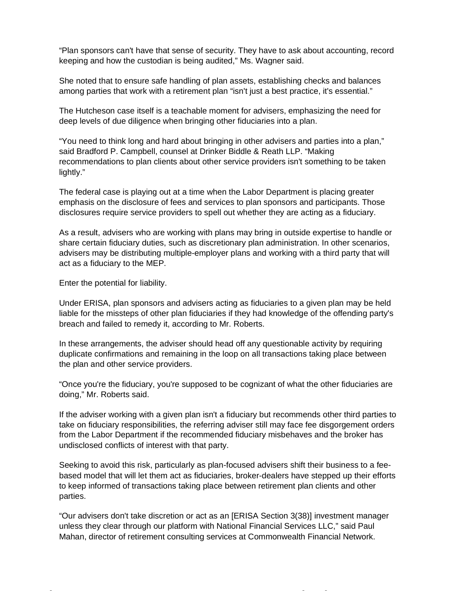"Plan sponsors can't have that sense of security. They have to ask about accounting, record keeping and how the custodian is being audited,"Ms. Wagner said.

She noted that to ensure safe handling of plan assets, establishing checks and balances among parties that work with a retirement plan "isn't just a best practice, it's essential."

The Hutcheson case itself is a teachable moment for advisers, emphasizing the need for deep levels of due diligence when bringing other fiduciaries into a plan.

"You need to think long and hard about bringing in other advisers and parties into a plan," said Bradford P. Campbell, counsel at Drinker Biddle & Reath LLP. "Making recommendations to plan clients about other service providers isn't something to be taken lightly."

The federal case is playing out at a time when the Labor Department is placing greater emphasis on the disclosure of fees and services to plan sponsors and participants. Those disclosures require service providers to spell out whether they are acting as a fiduciary.

As a result, advisers who are working with plans may bring in outside expertise to handle or share certain fiduciary duties, such as discretionary plan administration. In other scenarios, advisers may be distributing multiple-employer plans and working with a third party that will act as a fiduciary to the MEP.

Enter the potential for liability.

Under ERISA, plan sponsors and advisers acting as fiduciaries to a given plan may be held liable for the missteps of other plan fiduciaries if they had knowledge of the offending party's breach and failed to remedy it, according to Mr. Roberts.

In these arrangements, the adviser should head off any questionable activity by requiring duplicate confirmations and remaining in the loop on all transactions taking place between the plan and other service providers.

"Once you're the fiduciary, you're supposed to be cognizant of what the other fiduciaries are doing,"Mr. Roberts said.

If the adviser working with a given plan isn't a fiduciary but recommends other third parties to take on fiduciary responsibilities, the referring adviser still may face fee disgorgement orders from the Labor Department if the recommended fiduciary misbehaves and the broker has undisclosed conflicts of interest with that party.

Seeking to avoid this risk, particularly as plan-focused advisers shift their business to a feebased model that will let them act as fiduciaries, broker-dealers have stepped up their efforts to keep informed of transactions taking place between retirement plan clients and other parties.

"Our advisers don't take discretion or act as an [ERISA Section 3(38)] investment manager unless they clear through our platform with National Financial Services LLC,"said Paul Mahan, director of retirement consulting services at Commonwealth Financial Network.